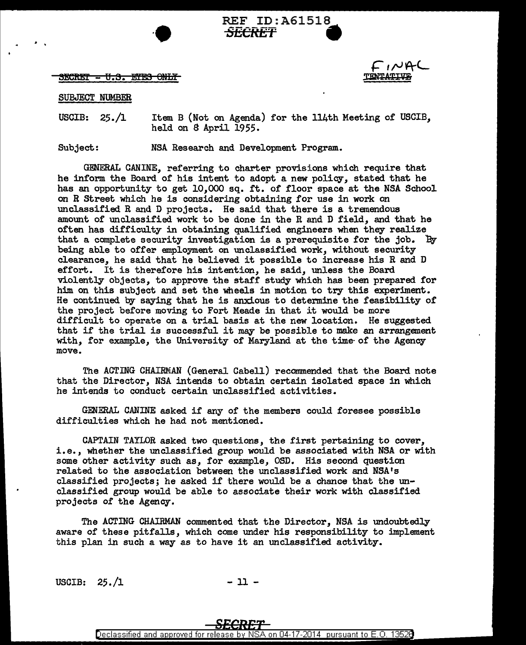<u> SECRET - U.S. ETES ONLY</u>



## SUBJECT NUMBER

USCIB: 25./1 Item B (Not on Agenda) for the 114th Meeting of USCIB, held on 8 April 1955.

**REF ID:A61518**<br><del>*SECRET*</del>

Subject.: NSA Research and Development Program.

 $\begin{array}{ccc} \cdot & \cdot & \cdot \\ \cdot & \cdot & \cdot \\ \cdot & \cdot & \cdot \end{array}$  REF ID:A61518

GENERAL CANINE, referring to charter provisions which require that he inform the Board of his intent to adopt a new policy, stated that he has an opportunity to get 10,000 sq. ft. of floor space at the NSA School on R Street which he is considering obtaining for use in work on unclassified R and D projects. He said that there is a tremendous amount of unclassified work to be done in the R and D field, and that he often has difficulty in obtaining qualified engineers when they realize that a complete security investigation is a prerequisite for the job. 'By being able to offer employment on unclassified work, without security clearance, he said that he believed. it possible to increase his R and D effort. It is therefore his intention, he said, unless the Board violently objects, to approve the staff study which has been prepared for him on this subject and set the wheels in motion to try this experiment. He continued by saying that he is anxious to determine the feasibility of the project before moving to Fort Meade in that it would be more difficult to operate on a trial basis at the new location. He suggested that if the trial is successful it may be possible to make an arrangement with, for example, the University of Maryland at the time· of the Agency move.

The ACTING CHAIRMAN (General Cabell) recommended. that the Board note that the Director, NSA intends to obtain certain isolated space in which he intends to conduct certain unclassified activities.

GENERAL CANINE asked if any of' the members could foresee possible difficulties which he had not mentioned.

CAPTAIN TAYLOR asked two questions, the first pertaining to cover, i.e., whether the unclassified group would be associated with NSA or with some other activity such as, for example, OSD. His second question related to the association between the unclassified work and NSA's classified projects; he asked if there would be a chance that the unclassified group would be able to associate their work with classified projects of the Agency.

The ACTING CHAIRMAN commented that the Director, NSA is undoubtedly aware of these pitfalls, which come under his responsibility to implement this plan in such a way as to have it an unclassified activity.

USCIB:  $25./1$  - 11 -